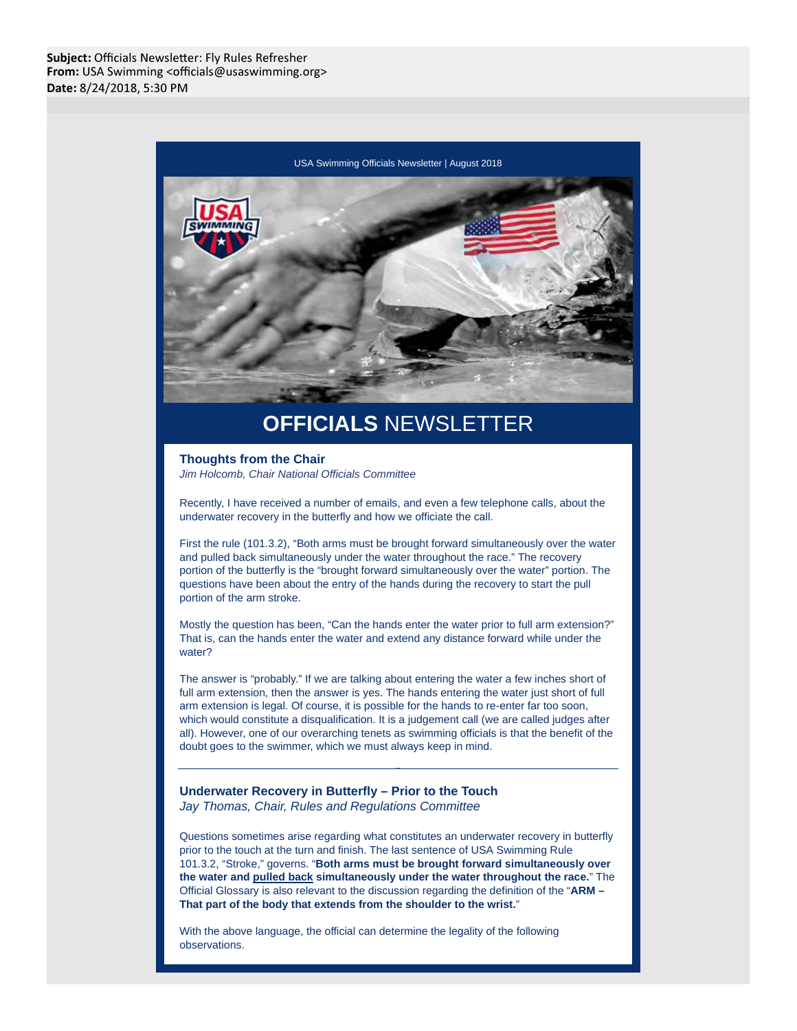

# **OFFICIALS** NEWSLETTER

**Thoughts from the Chair** Jim Holcomb, Chair National Officials Committee

Recently, I have received a number of emails, and even a few telephone calls, about the underwater recovery in the butterfly and how we officiate the call.

First the rule (101.3.2), "Both arms must be brought forward simultaneously over the water and pulled back simultaneously under the water throughout the race." The recovery portion of the butterfly is the "brought forward simultaneously over the water" portion. The questions have been about the entry of the hands during the recovery to start the pull portion of the arm stroke.

Mostly the question has been, "Can the hands enter the water prior to full arm extension?" That is, can the hands enter the water and extend any distance forward while under the water?

The answer is "probably." If we are talking about entering the water a few inches short of full arm extension, then the answer is yes. The hands entering the water just short of full arm extension is legal. Of course, it is possible for the hands to re-enter far too soon, which would constitute a disqualification. It is a judgement call (we are called judges after all). However, one of our overarching tenets as swimming officials is that the benefit of the doubt goes to the swimmer, which we must always keep in mind.

**Underwater Recovery in Butterfly – Prior to the Touch** Jay Thomas, Chair, Rules and Regulations Committee

Questions sometimes arise regarding what constitutes an underwater recovery in butterfly prior to the touch at the turn and finish. The last sentence of USA Swimming Rule 101.3.2, "Stroke," governs. "**Both arms must be brought forward simultaneously over the water and pulled back simultaneously under the water throughout the race.**" The Official Glossary is also relevant to the discussion regarding the definition of the "**ARM – That part of the body that extends from the shoulder to the wrist.**"

With the above language, the official can determine the legality of the following observations.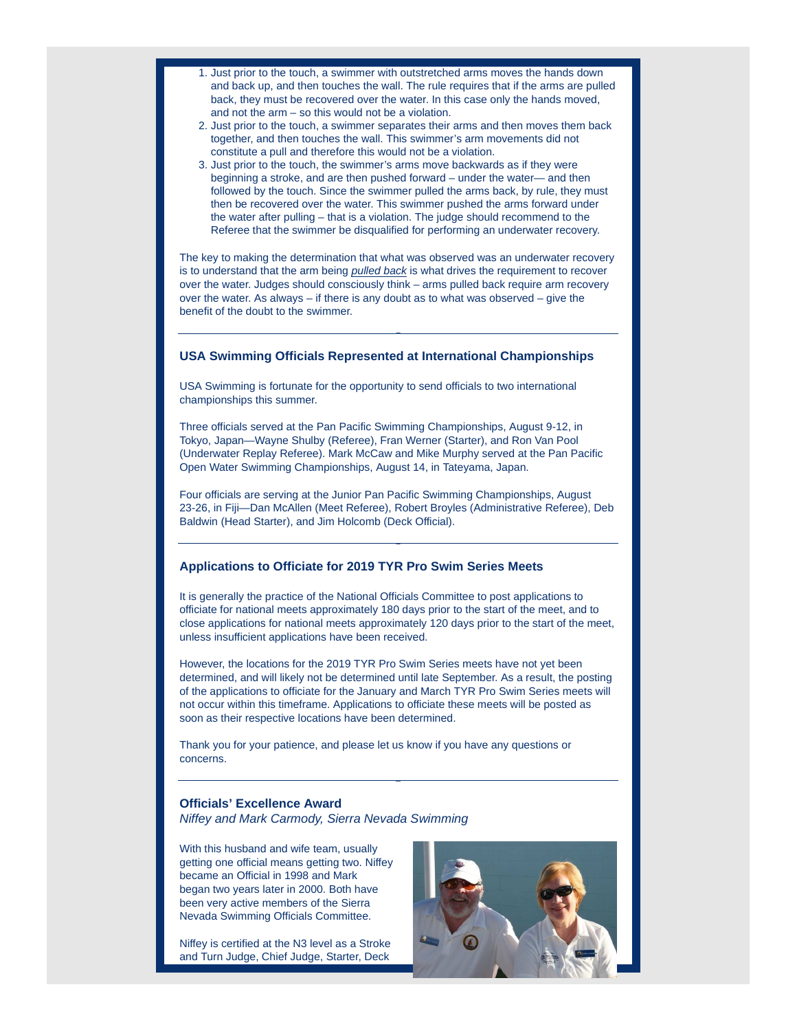- 1. Just prior to the touch, a swimmer with outstretched arms moves the hands down and back up, and then touches the wall. The rule requires that if the arms are pulled back, they must be recovered over the water. In this case only the hands moved, and not the arm – so this would not be a violation.
- 2. Just prior to the touch, a swimmer separates their arms and then moves them back together, and then touches the wall. This swimmer's arm movements did not constitute a pull and therefore this would not be a violation.
- 3. Just prior to the touch, the swimmer's arms move backwards as if they were beginning a stroke, and are then pushed forward – under the water— and then followed by the touch. Since the swimmer pulled the arms back, by rule, they must then be recovered over the water. This swimmer pushed the arms forward under the water after pulling – that is a violation. The judge should recommend to the Referee that the swimmer be disqualified for performing an underwater recovery.

The key to making the determination that what was observed was an underwater recovery is to understand that the arm being pulled back is what drives the requirement to recover over the water. Judges should consciously think – arms pulled back require arm recovery over the water. As always – if there is any doubt as to what was observed – give the benefit of the doubt to the swimmer.

## **USA Swimming Officials Represented at International Championships**

USA Swimming is fortunate for the opportunity to send officials to two international championships this summer.

Three officials served at the Pan Pacific Swimming Championships, August 9-12, in Tokyo, Japan—Wayne Shulby (Referee), Fran Werner (Starter), and Ron Van Pool (Underwater Replay Referee). Mark McCaw and Mike Murphy served at the Pan Pacific Open Water Swimming Championships, August 14, in Tateyama, Japan.

Four officials are serving at the Junior Pan Pacific Swimming Championships, August 23-26, in Fiji—Dan McAllen (Meet Referee), Robert Broyles (Administrative Referee), Deb Baldwin (Head Starter), and Jim Holcomb (Deck Official).

#### **Applications to Officiate for 2019 TYR Pro Swim Series Meets**

It is generally the practice of the National Officials Committee to post applications to officiate for national meets approximately 180 days prior to the start of the meet, and to close applications for national meets approximately 120 days prior to the start of the meet, unless insufficient applications have been received.

However, the locations for the 2019 TYR Pro Swim Series meets have not yet been determined, and will likely not be determined until late September. As a result, the posting of the applications to officiate for the January and March TYR Pro Swim Series meets will not occur within this timeframe. Applications to officiate these meets will be posted as soon as their respective locations have been determined.

Thank you for your patience, and please let us know if you have any questions or concerns.

## **Officials' Excellence Award**

Niffey and Mark Carmody, Sierra Nevada Swimming

With this husband and wife team, usually getting one official means getting two. Niffey became an Official in 1998 and Mark began two years later in 2000. Both have been very active members of the Sierra Nevada Swimming Officials Committee.

Niffey is certified at the N3 level as a Stroke and Turn Judge, Chief Judge, Starter, Deck

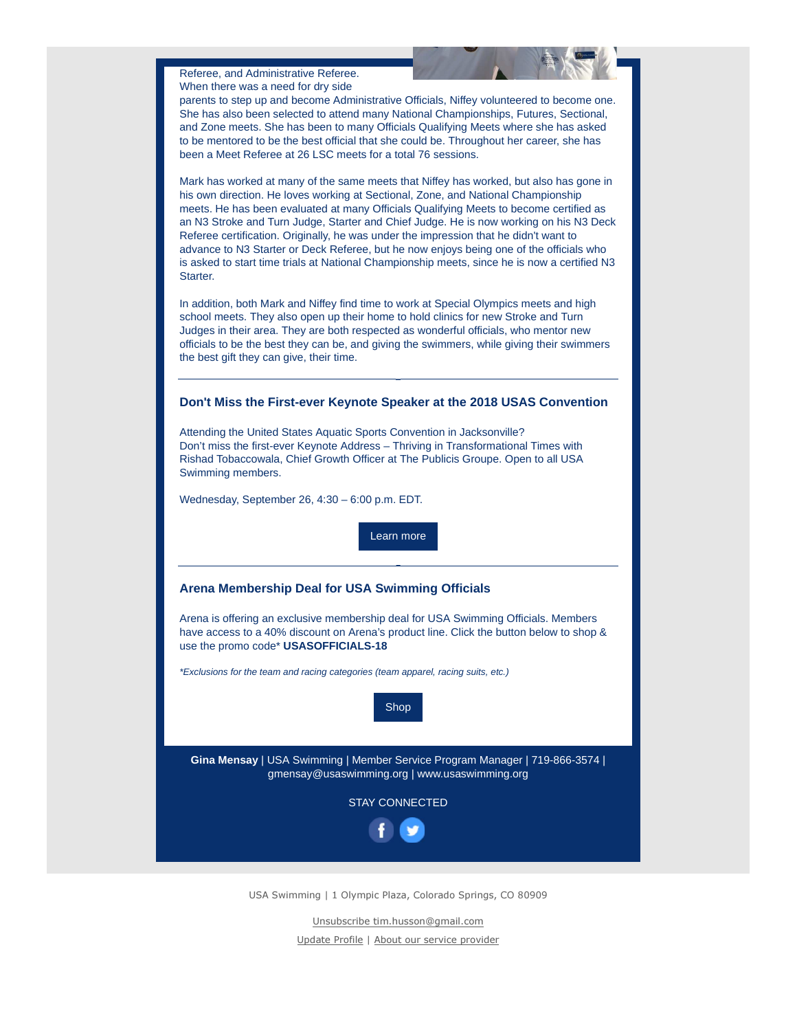Referee, and Administrative Referee. When there was a need for dry side

parents to step up and become Administrative Officials, Niffey volunteered to become one. She has also been selected to attend many National Championships, Futures, Sectional, and Zone meets. She has been to many Officials Qualifying Meets where she has asked to be mentored to be the best official that she could be. Throughout her career, she has been a Meet Referee at 26 LSC meets for a total 76 sessions.

Mark has worked at many of the same meets that Niffey has worked, but also has gone in his own direction. He loves working at Sectional, Zone, and National Championship meets. He has been evaluated at many Officials Qualifying Meets to become certified as an N3 Stroke and Turn Judge, Starter and Chief Judge. He is now working on his N3 Deck Referee certification. Originally, he was under the impression that he didn't want to advance to N3 Starter or Deck Referee, but he now enjoys being one of the officials who is asked to start time trials at National Championship meets, since he is now a certified N3 Starter.

In addition, both Mark and Niffey find time to work at Special Olympics meets and high school meets. They also open up their home to hold clinics for new Stroke and Turn Judges in their area. They are both respected as wonderful officials, who mentor new officials to be the best they can be, and giving the swimmers, while giving their swimmers the best gift they can give, their time.

### **Don't Miss the First-ever Keynote Speaker at the 2018 USAS Convention**

Attending the United States Aquatic Sports Convention in Jacksonville? Don't miss the first-ever Keynote Address – Thriving in Transformational Times with Rishad Tobaccowala, Chief Growth Officer at The Publicis Groupe. Open to all USA Swimming members.

Wednesday, September 26, 4:30 – 6:00 p.m. EDT.

Learn more

#### **Arena Membership Deal for USA Swimming Officials**

Arena is offering an exclusive membership deal for USA Swimming Officials. Members have access to a 40% discount on Arena's product line. Click the button below to shop & use the promo code\* **USASOFFICIALS-18**

\*Exclusions for the team and racing categories (team apparel, racing suits, etc.)



**Gina Mensay** | USA Swimming | Member Service Program Manager | 719-866-3574 | gmensay@usaswimming.org | www.usaswimming.org

STAY CONNECTED



USA Swimming | 1 Olympic Plaza, Colorado Springs, CO 80909

Unsubscribe tim.husson@gmail.com Update Profile | About our service provider